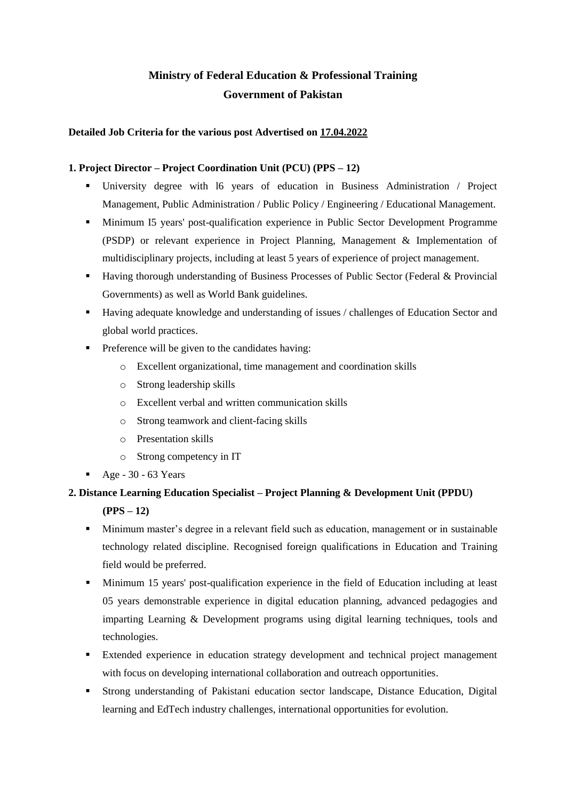# **Ministry of Federal Education & Professional Training Government of Pakistan**

### **Detailed Job Criteria for the various post Advertised on 17.04.2022**

### **1. Project Director – Project Coordination Unit (PCU) (PPS – 12)**

- University degree with 16 years of education in Business Administration / Project Management, Public Administration / Public Policy / Engineering / Educational Management.
- Minimum I5 years' post-qualification experience in Public Sector Development Programme (PSDP) or relevant experience in Project Planning, Management & Implementation of multidisciplinary projects, including at least 5 years of experience of project management.
- Having thorough understanding of Business Processes of Public Sector (Federal & Provincial Governments) as well as World Bank guidelines.
- Having adequate knowledge and understanding of issues / challenges of Education Sector and global world practices.
- **•** Preference will be given to the candidates having:
	- o Excellent organizational, time management and coordination skills
	- o Strong leadership skills
	- o Excellent verbal and written communication skills
	- o Strong teamwork and client-facing skills
	- o Presentation skills
	- o Strong competency in IT
- $\blacksquare$  Age 30 63 Years

# **2. Distance Learning Education Specialist – Project Planning & Development Unit (PPDU) (PPS – 12)**

- Minimum master's degree in a relevant field such as education, management or in sustainable technology related discipline. Recognised foreign qualifications in Education and Training field would be preferred.
- Minimum 15 years' post-qualification experience in the field of Education including at least 05 years demonstrable experience in digital education planning, advanced pedagogies and imparting Learning & Development programs using digital learning techniques, tools and technologies.
- Extended experience in education strategy development and technical project management with focus on developing international collaboration and outreach opportunities.
- Strong understanding of Pakistani education sector landscape, Distance Education, Digital learning and EdTech industry challenges, international opportunities for evolution.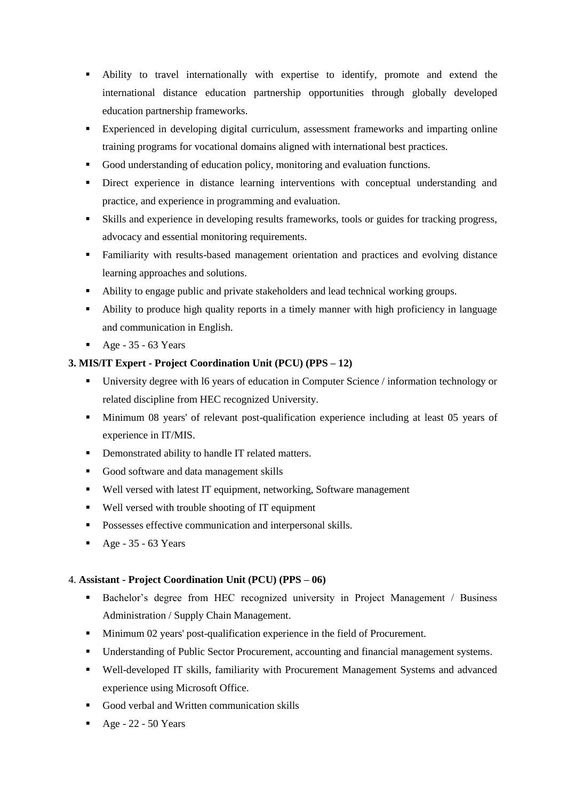- Ability to travel internationally with expertise to identify, promote and extend the international distance education partnership opportunities through globally developed education partnership frameworks.
- Experienced in developing digital curriculum, assessment frameworks and imparting online training programs for vocational domains aligned with international best practices.
- Good understanding of education policy, monitoring and evaluation functions.
- **•** Direct experience in distance learning interventions with conceptual understanding and practice, and experience in programming and evaluation.
- Skills and experience in developing results frameworks, tools or guides for tracking progress, advocacy and essential monitoring requirements.
- Familiarity with results-based management orientation and practices and evolving distance learning approaches and solutions.
- Ability to engage public and private stakeholders and lead technical working groups.
- Ability to produce high quality reports in a timely manner with high proficiency in language and communication in English.
- $\blacksquare$  Age 35 63 Years

## **3. MIS/IT Expert - Project Coordination Unit (PCU) (PPS – 12)**

- University degree with l6 years of education in Computer Science / information technology or related discipline from HEC recognized University.
- Minimum 08 years' of relevant post-qualification experience including at least 05 years of experience in IT/MIS.
- Demonstrated ability to handle IT related matters.
- Good software and data management skills
- Well versed with latest IT equipment, networking, Software management
- Well versed with trouble shooting of IT equipment
- **•** Possesses effective communication and interpersonal skills.
- $\blacksquare$  Age 35 63 Years

### 4. **Assistant - Project Coordination Unit (PCU) (PPS – 06)**

- Bachelor's degree from HEC recognized university in Project Management / Business Administration / Supply Chain Management.
- Minimum 02 years' post-qualification experience in the field of Procurement.
- Understanding of Public Sector Procurement, accounting and financial management systems.
- Well-developed IT skills, familiarity with Procurement Management Systems and advanced experience using Microsoft Office.
- Good verbal and Written communication skills
- $\blacksquare$  Age 22 50 Years